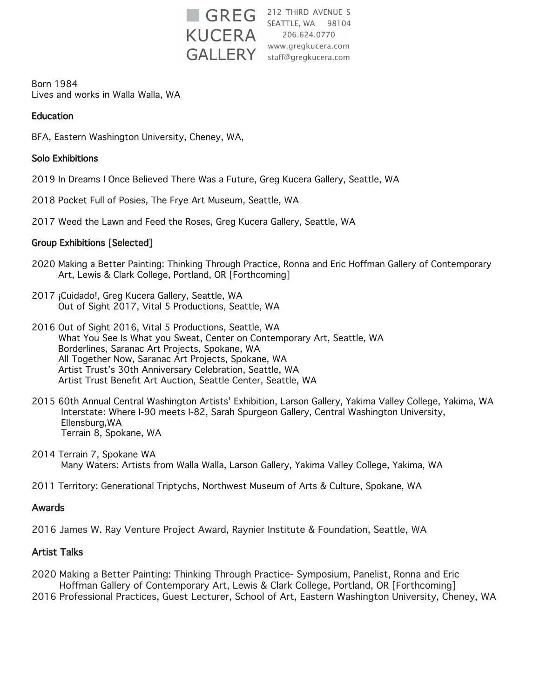

**GREG** <sup>212 THIRD AVENUE S</sup> 206.624.0770 GALLERY staff@gregkucera.com

Born 1984 Lives and works in Walla Walla, WA

### **Education**

BFA, Eastern Washington University, Cheney, WA,

#### Solo Exhibitions

- 2019 In Dreams I Once Believed There Was a Future, Greg Kucera Gallery, Seattle, WA
- 2018 Pocket Full of Posies, The Frye Art Museum, Seattle, WA
- 2017 Weed the Lawn and Feed the Roses, Greg Kucera Gallery, Seattle, WA

#### Group Exhibitions [Selected]

- 2020 Making a Better Painting: Thinking Through Practice, Ronna and Eric Hoffman Gallery of Contemporary Art, Lewis & Clark College, Portland, OR [Forthcoming]
- 2017 ¡Cuidado!, Greg Kucera Gallery, Seattle, WA Out of Sight 2017, Vital 5 Productions, Seattle, WA
- 2016 Out of Sight 2016, Vital 5 Productions, Seattle, WA What You See Is What you Sweat, Center on Contemporary Art, Seattle, WA Borderlines, Saranac Art Projects, Spokane, WA All Together Now, Saranac Art Projects, Spokane, WA Artist Trust's 30th Anniversary Celebration, Seattle, WA Artist Trust Benefit Art Auction, Seattle Center, Seattle, WA
- 2015 60th Annual Central Washington Artists' Exhibition, Larson Gallery, Yakima Valley College, Yakima, WA Interstate: Where I-90 meets I-82, Sarah Spurgeon Gallery, Central Washington University, Ellensburg,WA Terrain 8, Spokane, WA
- 2014 Terrain 7, Spokane WA Many Waters: Artists from Walla Walla, Larson Gallery, Yakima Valley College, Yakima, WA
- 2011 Territory: Generational Triptychs, Northwest Museum of Arts & Culture, Spokane, WA

#### Awards

2016 James W. Ray Venture Project Award, Raynier Institute & Foundation, Seattle, WA

#### Artist Talks

- 2020 Making a Better Painting: Thinking Through Practice- Symposium, Panelist, Ronna and Eric Hoffman Gallery of Contemporary Art, Lewis & Clark College, Portland, OR [Forthcoming]
- 2016 Professional Practices, Guest Lecturer, School of Art, Eastern Washington University, Cheney, WA